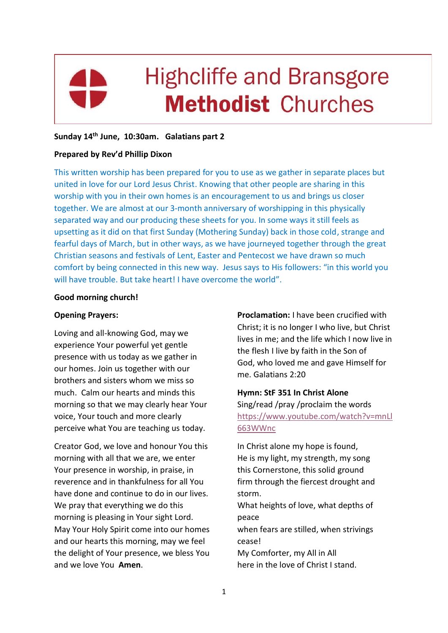

# **Highcliffe and Bransgore Methodist Churches**

# **Sunday 14th June, 10:30am. Galatians part 2**

## **Prepared by Rev'd Phillip Dixon**

This written worship has been prepared for you to use as we gather in separate places but united in love for our Lord Jesus Christ. Knowing that other people are sharing in this worship with you in their own homes is an encouragement to us and brings us closer together. We are almost at our 3-month anniversary of worshipping in this physically separated way and our producing these sheets for you. In some ways it still feels as upsetting as it did on that first Sunday (Mothering Sunday) back in those cold, strange and fearful days of March, but in other ways, as we have journeyed together through the great Christian seasons and festivals of Lent, Easter and Pentecost we have drawn so much comfort by being connected in this new way. Jesus says to His followers: "in this world you will have trouble. But take heart! I have overcome the world".

#### **Good morning church!**

### **Opening Prayers:**

Loving and all-knowing God, may we experience Your powerful yet gentle presence with us today as we gather in our homes. Join us together with our brothers and sisters whom we miss so much. Calm our hearts and minds this morning so that we may clearly hear Your voice, Your touch and more clearly perceive what You are teaching us today.

Creator God, we love and honour You this morning with all that we are, we enter Your presence in worship, in praise, in reverence and in thankfulness for all You have done and continue to do in our lives. We pray that everything we do this morning is pleasing in Your sight Lord. May Your Holy Spirit come into our homes and our hearts this morning, may we feel the delight of Your presence, we bless You and we love You **Amen**.

**Proclamation:** I have been crucified with Christ; it is no longer I who live, but Christ lives in me; and the life which I now live in the flesh I live by faith in the Son of God, who loved me and gave Himself for me. Galatians 2:20

# **Hymn: StF 351 In Christ Alone**  Sing/read /pray /proclaim the words [https://www.youtube.com/watch?v=mnLl](https://www.youtube.com/watch?v=mnLl663WWnc) [663WWnc](https://www.youtube.com/watch?v=mnLl663WWnc)

In Christ alone my hope is found, He is my light, my strength, my song this Cornerstone, this solid ground firm through the fiercest drought and storm.

What heights of love, what depths of peace

when fears are stilled, when strivings cease!

My Comforter, my All in All here in the love of Christ I stand.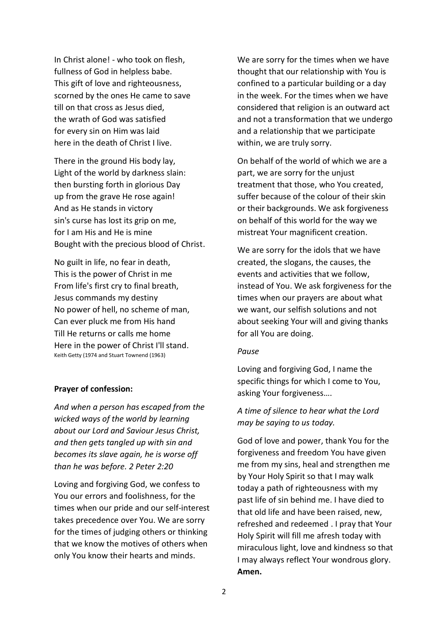In Christ alone! - who took on flesh, fullness of God in helpless babe. This gift of love and righteousness, scorned by the ones He came to save till on that cross as Jesus died, the wrath of God was satisfied for every sin on Him was laid here in the death of Christ I live.

There in the ground His body lay, Light of the world by darkness slain: then bursting forth in glorious Day up from the grave He rose again! And as He stands in victory sin's curse has lost its grip on me, for I am His and He is mine Bought with the precious blood of Christ.

No guilt in life, no fear in death, This is the power of Christ in me From life's first cry to final breath, Jesus commands my destiny No power of hell, no scheme of man, Can ever pluck me from His hand Till He returns or calls me home Here in the power of Christ I'll stand. Keith Getty (1974 and Stuart Townend (1963)

#### **Prayer of confession:**

*And when a person has escaped from the wicked ways of the world by learning about our Lord and Saviour Jesus Christ, and then gets tangled up with sin and becomes its slave again, he is worse off than he was before. 2 Peter 2:20*

Loving and forgiving God, we confess to You our errors and foolishness, for the times when our pride and our self-interest takes precedence over You. We are sorry for the times of judging others or thinking that we know the motives of others when only You know their hearts and minds.

We are sorry for the times when we have thought that our relationship with You is confined to a particular building or a day in the week. For the times when we have considered that religion is an outward act and not a transformation that we undergo and a relationship that we participate within, we are truly sorry.

On behalf of the world of which we are a part, we are sorry for the unjust treatment that those, who You created, suffer because of the colour of their skin or their backgrounds. We ask forgiveness on behalf of this world for the way we mistreat Your magnificent creation.

We are sorry for the idols that we have created, the slogans, the causes, the events and activities that we follow, instead of You. We ask forgiveness for the times when our prayers are about what we want, our selfish solutions and not about seeking Your will and giving thanks for all You are doing.

#### *Pause*

Loving and forgiving God, I name the specific things for which I come to You, asking Your forgiveness….

# *A time of silence to hear what the Lord may be saying to us today.*

God of love and power, thank You for the forgiveness and freedom You have given me from my sins, heal and strengthen me by Your Holy Spirit so that I may walk today a path of righteousness with my past life of sin behind me. I have died to that old life and have been raised, new, refreshed and redeemed . I pray that Your Holy Spirit will fill me afresh today with miraculous light, love and kindness so that I may always reflect Your wondrous glory. **Amen.**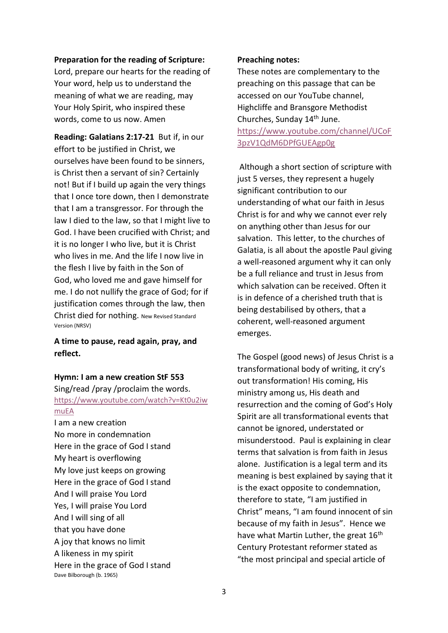#### **Preparation for the reading of Scripture:**

Lord, prepare our hearts for the reading of Your word, help us to understand the meaning of what we are reading, may Your Holy Spirit, who inspired these words, come to us now. Amen

**Reading: Galatians 2:17-21** But if, in our effort to be justified in Christ, we ourselves have been found to be sinners, is Christ then a servant of sin? Certainly not! But if I build up again the very things that I once tore down, then I demonstrate that I am a transgressor. For through the law I died to the law, so that I might live to God. I have been crucified with Christ; and it is no longer I who live, but it is Christ who lives in me. And the life I now live in the flesh I live by faith in the Son of God, who loved me and gave himself for me. I do not nullify the grace of God; for if justification comes through the law, then Christ died for nothing. New Revised Standard Version (NRSV)

**A time to pause, read again, pray, and reflect.**

**Hymn: I am a new creation StF 553**  Sing/read /pray /proclaim the words. [https://www.youtube.com/watch?v=Kt0u2iw](https://www.youtube.com/watch?v=Kt0u2iwmuEA) [muEA](https://www.youtube.com/watch?v=Kt0u2iwmuEA)

I am a new creation No more in condemnation Here in the grace of God I stand My heart is overflowing My love just keeps on growing Here in the grace of God I stand And I will praise You Lord Yes, I will praise You Lord And I will sing of all that you have done A joy that knows no limit A likeness in my spirit Here in the grace of God I stand Dave Bilborough (b. 1965)

#### **Preaching notes:**

These notes are complementary to the preaching on this passage that can be accessed on our YouTube channel, Highcliffe and Bransgore Methodist Churches, Sunday 14<sup>th</sup> June. [https://www.youtube.com/channel/UCoF](https://www.youtube.com/channel/UCoF3pzV1QdM6DPfGUEAgp0g) [3pzV1QdM6DPfGUEAgp0g](https://www.youtube.com/channel/UCoF3pzV1QdM6DPfGUEAgp0g)

Although a short section of scripture with just 5 verses, they represent a hugely significant contribution to our understanding of what our faith in Jesus Christ is for and why we cannot ever rely on anything other than Jesus for our salvation. This letter, to the churches of Galatia, is all about the apostle Paul giving a well-reasoned argument why it can only be a full reliance and trust in Jesus from which salvation can be received. Often it is in defence of a cherished truth that is being destabilised by others, that a coherent, well-reasoned argument emerges.

The Gospel (good news) of Jesus Christ is a transformational body of writing, it cry's out transformation! His coming, His ministry among us, His death and resurrection and the coming of God's Holy Spirit are all transformational events that cannot be ignored, understated or misunderstood. Paul is explaining in clear terms that salvation is from faith in Jesus alone. Justification is a legal term and its meaning is best explained by saying that it is the exact opposite to condemnation, therefore to state, "I am justified in Christ" means, "I am found innocent of sin because of my faith in Jesus". Hence we have what Martin Luther, the great 16<sup>th</sup> Century Protestant reformer stated as "the most principal and special article of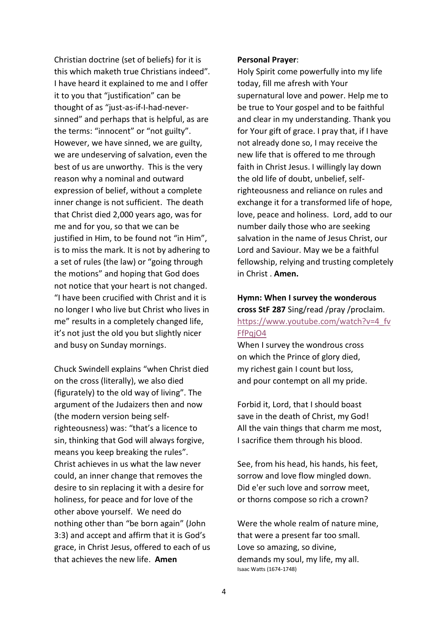Christian doctrine (set of beliefs) for it is this which maketh true Christians indeed". I have heard it explained to me and I offer it to you that "justification" can be thought of as "just-as-if-I-had-neversinned" and perhaps that is helpful, as are the terms: "innocent" or "not guilty". However, we have sinned, we are guilty, we are undeserving of salvation, even the best of us are unworthy. This is the very reason why a nominal and outward expression of belief, without a complete inner change is not sufficient. The death that Christ died 2,000 years ago, was for me and for you, so that we can be justified in Him, to be found not "in Him", is to miss the mark. It is not by adhering to a set of rules (the law) or "going through the motions" and hoping that God does not notice that your heart is not changed. "I have been crucified with Christ and it is no longer I who live but Christ who lives in me" results in a completely changed life, it's not just the old you but slightly nicer and busy on Sunday mornings.

Chuck Swindell explains "when Christ died on the cross (literally), we also died (figurately) to the old way of living". The argument of the Judaizers then and now (the modern version being selfrighteousness) was: "that's a licence to sin, thinking that God will always forgive, means you keep breaking the rules". Christ achieves in us what the law never could, an inner change that removes the desire to sin replacing it with a desire for holiness, for peace and for love of the other above yourself. We need do nothing other than "be born again" (John 3:3) and accept and affirm that it is God's grace, in Christ Jesus, offered to each of us that achieves the new life. **Amen**

#### **Personal Prayer**:

Holy Spirit come powerfully into my life today, fill me afresh with Your supernatural love and power. Help me to be true to Your gospel and to be faithful and clear in my understanding. Thank you for Your gift of grace. I pray that, if I have not already done so, I may receive the new life that is offered to me through faith in Christ Jesus. I willingly lay down the old life of doubt, unbelief, selfrighteousness and reliance on rules and exchange it for a transformed life of hope, love, peace and holiness. Lord, add to our number daily those who are seeking salvation in the name of Jesus Christ, our Lord and Saviour. May we be a faithful fellowship, relying and trusting completely in Christ . **Amen.**

# **Hymn: When I survey the wonderous cross StF 287** Sing/read /pray /proclaim. [https://www.youtube.com/watch?v=4\\_fv](https://www.youtube.com/watch?v=4_fvFfPqjO4) [FfPqjO4](https://www.youtube.com/watch?v=4_fvFfPqjO4)

When I survey the wondrous cross on which the Prince of glory died, my richest gain I count but loss, and pour contempt on all my pride.

Forbid it, Lord, that I should boast save in the death of Christ, my God! All the vain things that charm me most, I sacrifice them through his blood.

See, from his head, his hands, his feet, sorrow and love flow mingled down. Did e'er such love and sorrow meet, or thorns compose so rich a crown?

Were the whole realm of nature mine, that were a present far too small. Love so amazing, so divine, demands my soul, my life, my all. Isaac Watts (1674-1748)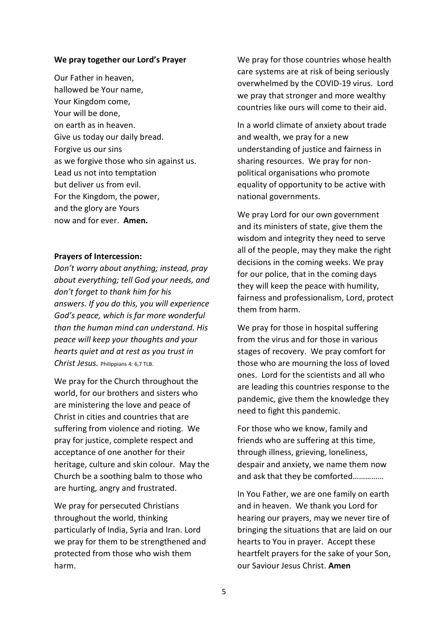#### **We pray together our Lord's Prayer**

Our Father in heaven, hallowed be Your name, Your Kingdom come, Your will be done, on earth as in heaven. Give us today our daily bread. Forgive us our sins as we forgive those who sin against us. Lead us not into temptation but deliver us from evil. For the Kingdom, the power, and the glory are Yours now and for ever. **Amen.**

#### **Prayers of Intercession:**

*Don't worry about anything; instead, pray about everything; tell God your needs, and don't forget to thank him for his answers. If you do this, you will experience God's peace, which is far more wonderful than the human mind can understand. His peace will keep your thoughts and your hearts quiet and at rest as you trust in Christ Jesus.* Philippians 4: 6,7 TLB.

We pray for the Church throughout the world, for our brothers and sisters who are ministering the love and peace of Christ in cities and countries that are suffering from violence and rioting. We pray for justice, complete respect and acceptance of one another for their heritage, culture and skin colour. May the Church be a soothing balm to those who are hurting, angry and frustrated.

We pray for persecuted Christians throughout the world, thinking particularly of India, Syria and Iran. Lord we pray for them to be strengthened and protected from those who wish them harm.

We pray for those countries whose health care systems are at risk of being seriously overwhelmed by the COVID-19 virus. Lord we pray that stronger and more wealthy countries like ours will come to their aid.

In a world climate of anxiety about trade and wealth, we pray for a new understanding of justice and fairness in sharing resources. We pray for nonpolitical organisations who promote equality of opportunity to be active with national governments.

We pray Lord for our own government and its ministers of state, give them the wisdom and integrity they need to serve all of the people, may they make the right decisions in the coming weeks. We pray for our police, that in the coming days they will keep the peace with humility, fairness and professionalism, Lord, protect them from harm.

We pray for those in hospital suffering from the virus and for those in various stages of recovery. We pray comfort for those who are mourning the loss of loved ones. Lord for the scientists and all who are leading this countries response to the pandemic, give them the knowledge they need to fight this pandemic.

For those who we know, family and friends who are suffering at this time, through illness, grieving, loneliness, despair and anxiety, we name them now and ask that they be comforted……………

In You Father, we are one family on earth and in heaven. We thank you Lord for hearing our prayers, may we never tire of bringing the situations that are laid on our hearts to You in prayer. Accept these heartfelt prayers for the sake of your Son, our Saviour Jesus Christ. **Amen**